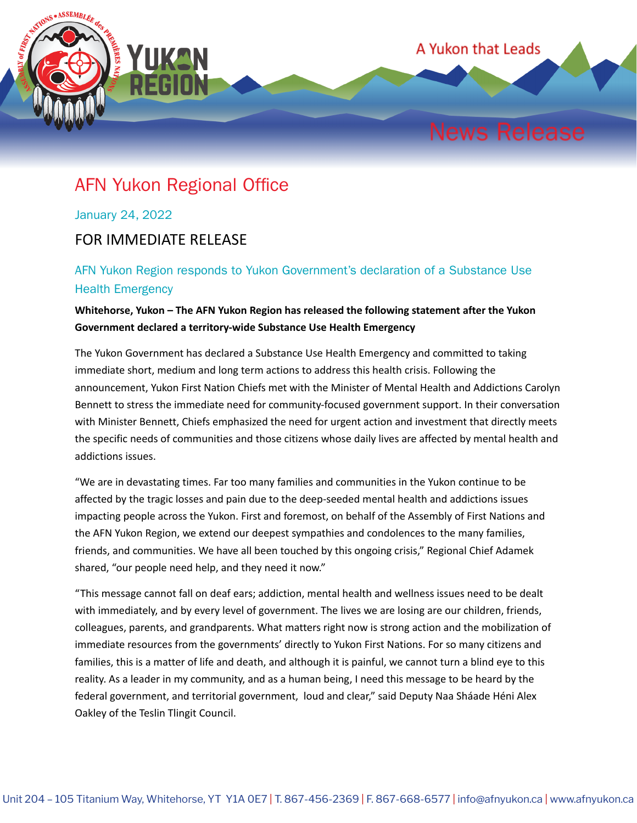

## AFN Yukon Regional Office

January 24, 2022

## FOR IMMEDIATE RELEASE

## AFN Yukon Region responds to Yukon Government's declaration of a Substance Use Health Emergency

## **Whitehorse, Yukon – The AFN Yukon Region has released the following statement after the Yukon Government declared a territory-wide Substance Use Health Emergency**

The Yukon Government has declared a Substance Use Health Emergency and committed to taking immediate short, medium and long term actions to address this health crisis. Following the announcement, Yukon First Nation Chiefs met with the Minister of Mental Health and Addictions Carolyn Bennett to stress the immediate need for community-focused government support. In their conversation with Minister Bennett, Chiefs emphasized the need for urgent action and investment that directly meets the specific needs of communities and those citizens whose daily lives are affected by mental health and addictions issues.

"We are in devastating times. Far too many families and communities in the Yukon continue to be affected by the tragic losses and pain due to the deep-seeded mental health and addictions issues impacting people across the Yukon. First and foremost, on behalf of the Assembly of First Nations and the AFN Yukon Region, we extend our deepest sympathies and condolences to the many families, friends, and communities. We have all been touched by this ongoing crisis," Regional Chief Adamek shared, "our people need help, and they need it now."

"This message cannot fall on deaf ears; addiction, mental health and wellness issues need to be dealt with immediately, and by every level of government. The lives we are losing are our children, friends, colleagues, parents, and grandparents. What matters right now is strong action and the mobilization of immediate resources from the governments' directly to Yukon First Nations. For so many citizens and families, this is a matter of life and death, and although it is painful, we cannot turn a blind eye to this reality. As a leader in my community, and as a human being, I need this message to be heard by the federal government, and territorial government, loud and clear," said Deputy Naa Sháade Héni Alex Oakley of the Teslin Tlingit Council.